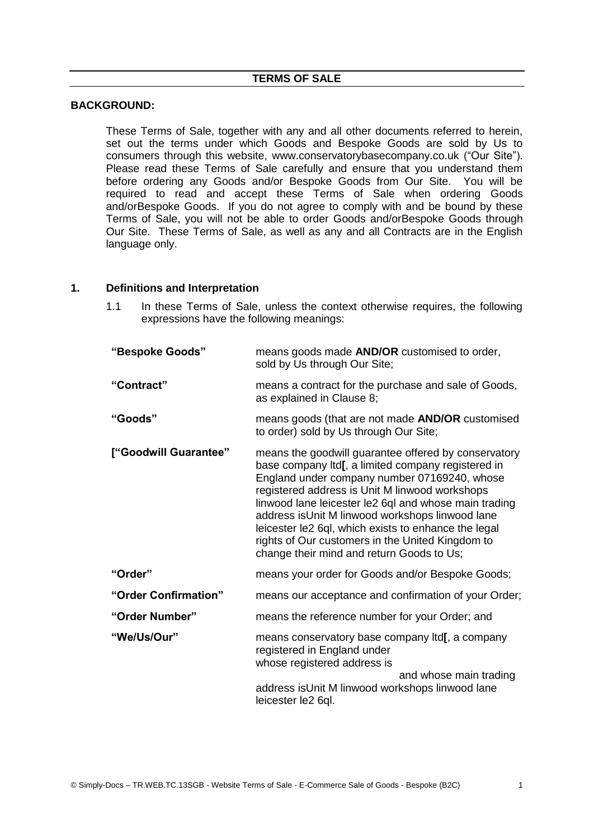#### **BACKGROUND:**

These Terms of Sale, together with any and all other documents referred to herein, set out the terms under which Goods and Bespoke Goods are sold by Us to consumers through this website, www.conservatorybasecompany.co.uk ("Our Site"). Please read these Terms of Sale carefully and ensure that you understand them before ordering any Goods and/or Bespoke Goods from Our Site. You will be required to read and accept these Terms of Sale when ordering Goods and/orBespoke Goods. If you do not agree to comply with and be bound by these Terms of Sale, you will not be able to order Goods and/orBespoke Goods through Our Site. These Terms of Sale, as well as any and all Contracts are in the English language only.

#### **1. Definitions and Interpretation**

1.1 In these Terms of Sale, unless the context otherwise requires, the following expressions have the following meanings:

| "Bespoke Goods"       | means goods made <b>AND/OR</b> customised to order,<br>sold by Us through Our Site;                                                                                                                                                                                                                                                                                                                                                                                               |
|-----------------------|-----------------------------------------------------------------------------------------------------------------------------------------------------------------------------------------------------------------------------------------------------------------------------------------------------------------------------------------------------------------------------------------------------------------------------------------------------------------------------------|
| "Contract"            | means a contract for the purchase and sale of Goods,<br>as explained in Clause 8;                                                                                                                                                                                                                                                                                                                                                                                                 |
| "Goods"               | means goods (that are not made <b>AND/OR</b> customised<br>to order) sold by Us through Our Site;                                                                                                                                                                                                                                                                                                                                                                                 |
| ["Goodwill Guarantee" | means the goodwill guarantee offered by conservatory<br>base company Itd[, a limited company registered in<br>England under company number 07169240, whose<br>registered address is Unit M linwood workshops<br>linwood lane leicester le2 6ql and whose main trading<br>address isUnit M linwood workshops linwood lane<br>leicester le2 6ql, which exists to enhance the legal<br>rights of Our customers in the United Kingdom to<br>change their mind and return Goods to Us; |
| "Order"               | means your order for Goods and/or Bespoke Goods;                                                                                                                                                                                                                                                                                                                                                                                                                                  |
| "Order Confirmation"  | means our acceptance and confirmation of your Order;                                                                                                                                                                                                                                                                                                                                                                                                                              |
| "Order Number"        | means the reference number for your Order; and                                                                                                                                                                                                                                                                                                                                                                                                                                    |
| "We/Us/Our"           | means conservatory base company Itd[, a company<br>registered in England under<br>whose registered address is<br>and whose main trading<br>address isUnit M linwood workshops linwood lane<br>leicester le2 6ql.                                                                                                                                                                                                                                                                  |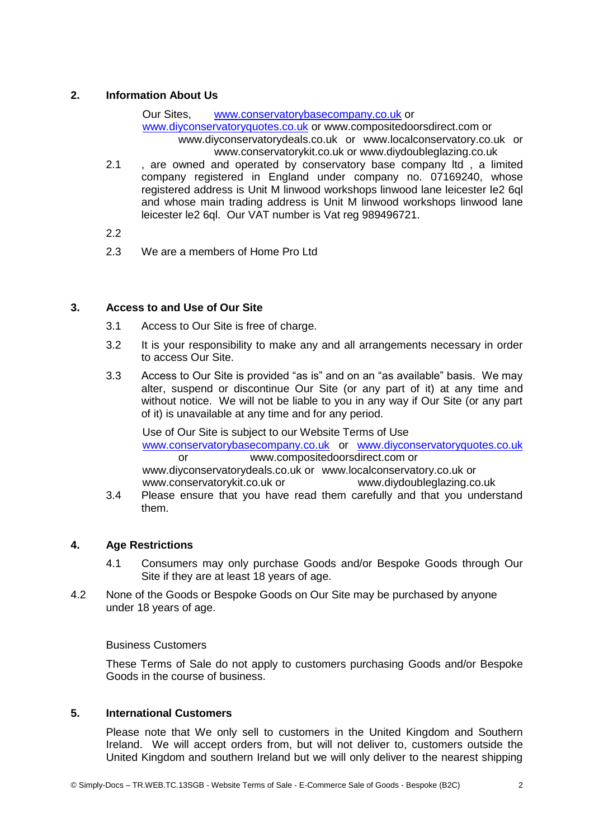# **2. Information About Us**

Our Sites, [www.conservatorybasecompany.co.uk](http://www.conservatorybasecompany.co.uk/) or [www.diyconservatoryquotes.co.uk](http://www.diyconservatoryquotes.co.uk/) or www.compositedoorsdirect.com or www.diyconservatorydeals.co.uk or www.localconservatory.co.uk or www.conservatorykit.co.uk or www.diydoubleglazing.co.uk

- 2.1 , are owned and operated by conservatory base company ltd, a limited company registered in England under company no. 07169240, whose registered address is Unit M linwood workshops linwood lane leicester le2 6ql and whose main trading address is Unit M linwood workshops linwood lane leicester le2 6ql. Our VAT number is Vat reg 989496721.
- 2.2
- 2.3 We are a members of Home Pro Ltd

# **3. Access to and Use of Our Site**

- 3.1 Access to Our Site is free of charge.
- 3.2 It is your responsibility to make any and all arrangements necessary in order to access Our Site.
- 3.3 Access to Our Site is provided "as is" and on an "as available" basis. We may alter, suspend or discontinue Our Site (or any part of it) at any time and without notice. We will not be liable to you in any way if Our Site (or any part of it) is unavailable at any time and for any period.

Use of Our Site is subject to our Website Terms of Use [www.conservatorybasecompany.co.uk](http://www.conservatorybasecompany.co.uk/) or [www.diyconservatoryquotes.co.uk](http://www.diyconservatoryquotes.co.uk/) or www.compositedoorsdirect.com or www.diyconservatorydeals.co.uk or www.localconservatory.co.uk or www.conservatorykit.co.uk or www.diydoubleglazing.co.uk

3.4 Please ensure that you have read them carefully and that you understand them.

# **4. Age Restrictions**

- 4.1 Consumers may only purchase Goods and/or Bespoke Goods through Our Site if they are at least 18 years of age.
- 4.2 None of the Goods or Bespoke Goods on Our Site may be purchased by anyone under 18 years of age.

#### Business Customers

These Terms of Sale do not apply to customers purchasing Goods and/or Bespoke Goods in the course of business.

# **5. International Customers**

Please note that We only sell to customers in the United Kingdom and Southern Ireland. We will accept orders from, but will not deliver to, customers outside the United Kingdom and southern Ireland but we will only deliver to the nearest shipping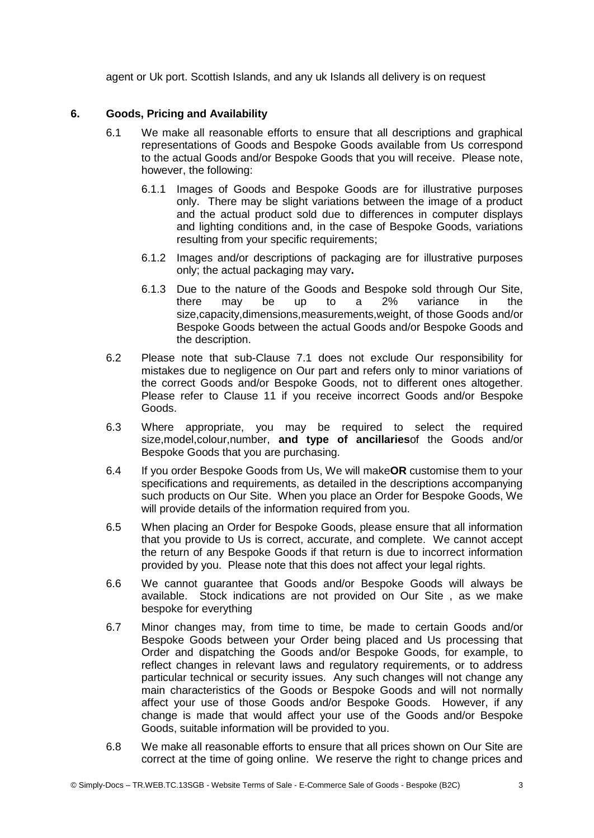agent or Uk port. Scottish Islands, and any uk Islands all delivery is on request

#### **6. Goods, Pricing and Availability**

- 6.1 We make all reasonable efforts to ensure that all descriptions and graphical representations of Goods and Bespoke Goods available from Us correspond to the actual Goods and/or Bespoke Goods that you will receive. Please note, however, the following:
	- 6.1.1 Images of Goods and Bespoke Goods are for illustrative purposes only. There may be slight variations between the image of a product and the actual product sold due to differences in computer displays and lighting conditions and, in the case of Bespoke Goods, variations resulting from your specific requirements;
	- 6.1.2 Images and/or descriptions of packaging are for illustrative purposes only; the actual packaging may vary**.**
	- 6.1.3 Due to the nature of the Goods and Bespoke sold through Our Site, there may be up to a 2% variance in the size,capacity,dimensions,measurements,weight, of those Goods and/or Bespoke Goods between the actual Goods and/or Bespoke Goods and the description.
- 6.2 Please note that sub-Clause 7.1 does not exclude Our responsibility for mistakes due to negligence on Our part and refers only to minor variations of the correct Goods and/or Bespoke Goods, not to different ones altogether. Please refer to Clause 11 if you receive incorrect Goods and/or Bespoke Goods.
- 6.3 Where appropriate, you may be required to select the required size,model,colour,number, **and type of ancillaries**of the Goods and/or Bespoke Goods that you are purchasing.
- 6.4 If you order Bespoke Goods from Us, We will make**OR** customise them to your specifications and requirements, as detailed in the descriptions accompanying such products on Our Site. When you place an Order for Bespoke Goods, We will provide details of the information required from you.
- 6.5 When placing an Order for Bespoke Goods, please ensure that all information that you provide to Us is correct, accurate, and complete. We cannot accept the return of any Bespoke Goods if that return is due to incorrect information provided by you. Please note that this does not affect your legal rights.
- 6.6 We cannot guarantee that Goods and/or Bespoke Goods will always be available. Stock indications are not provided on Our Site , as we make bespoke for everything
- 6.7 Minor changes may, from time to time, be made to certain Goods and/or Bespoke Goods between your Order being placed and Us processing that Order and dispatching the Goods and/or Bespoke Goods, for example, to reflect changes in relevant laws and regulatory requirements, or to address particular technical or security issues. Any such changes will not change any main characteristics of the Goods or Bespoke Goods and will not normally affect your use of those Goods and/or Bespoke Goods. However, if any change is made that would affect your use of the Goods and/or Bespoke Goods, suitable information will be provided to you.
- 6.8 We make all reasonable efforts to ensure that all prices shown on Our Site are correct at the time of going online. We reserve the right to change prices and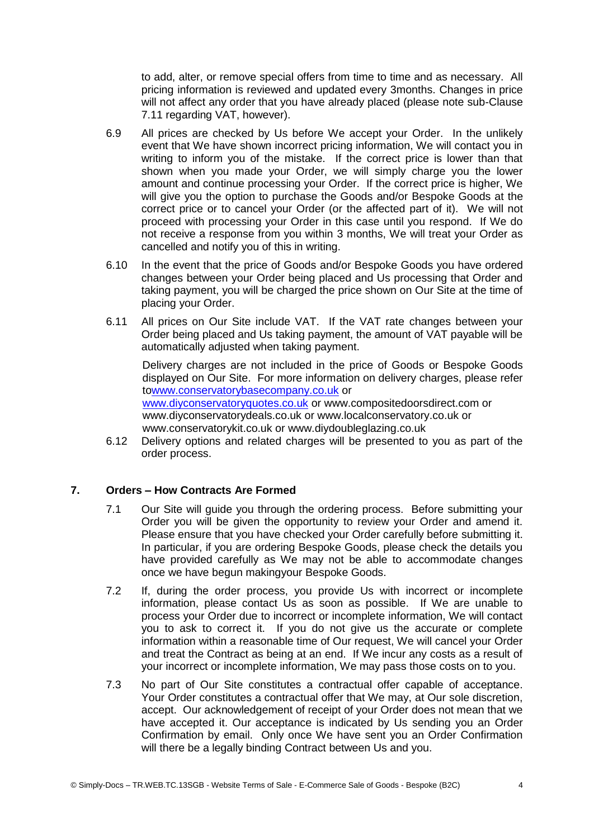to add, alter, or remove special offers from time to time and as necessary. All pricing information is reviewed and updated every 3months. Changes in price will not affect any order that you have already placed (please note sub-Clause 7.11 regarding VAT, however).

- 6.9 All prices are checked by Us before We accept your Order. In the unlikely event that We have shown incorrect pricing information, We will contact you in writing to inform you of the mistake. If the correct price is lower than that shown when you made your Order, we will simply charge you the lower amount and continue processing your Order. If the correct price is higher, We will give you the option to purchase the Goods and/or Bespoke Goods at the correct price or to cancel your Order (or the affected part of it). We will not proceed with processing your Order in this case until you respond. If We do not receive a response from you within 3 months, We will treat your Order as cancelled and notify you of this in writing.
- 6.10 In the event that the price of Goods and/or Bespoke Goods you have ordered changes between your Order being placed and Us processing that Order and taking payment, you will be charged the price shown on Our Site at the time of placing your Order.
- 6.11 All prices on Our Site include VAT. If the VAT rate changes between your Order being placed and Us taking payment, the amount of VAT payable will be automatically adjusted when taking payment.

Delivery charges are not included in the price of Goods or Bespoke Goods displayed on Our Site. For more information on delivery charges, please refer t[owww.conservatorybasecompany.co.uk](http://www.conservatorybasecompany.co.uk/) or [www.diyconservatoryquotes.co.uk](http://www.diyconservatoryquotes.co.uk/) or www.compositedoorsdirect.com or www.diyconservatorydeals.co.uk or www.localconservatory.co.uk or www.conservatorykit.co.uk or www.diydoubleglazing.co.uk

6.12 Delivery options and related charges will be presented to you as part of the order process.

# **7. Orders – How Contracts Are Formed**

- 7.1 Our Site will guide you through the ordering process. Before submitting your Order you will be given the opportunity to review your Order and amend it. Please ensure that you have checked your Order carefully before submitting it. In particular, if you are ordering Bespoke Goods, please check the details you have provided carefully as We may not be able to accommodate changes once we have begun makingyour Bespoke Goods.
- 7.2 If, during the order process, you provide Us with incorrect or incomplete information, please contact Us as soon as possible. If We are unable to process your Order due to incorrect or incomplete information, We will contact you to ask to correct it. If you do not give us the accurate or complete information within a reasonable time of Our request, We will cancel your Order and treat the Contract as being at an end. If We incur any costs as a result of your incorrect or incomplete information, We may pass those costs on to you.
- 7.3 No part of Our Site constitutes a contractual offer capable of acceptance. Your Order constitutes a contractual offer that We may, at Our sole discretion, accept. Our acknowledgement of receipt of your Order does not mean that we have accepted it. Our acceptance is indicated by Us sending you an Order Confirmation by email. Only once We have sent you an Order Confirmation will there be a legally binding Contract between Us and you.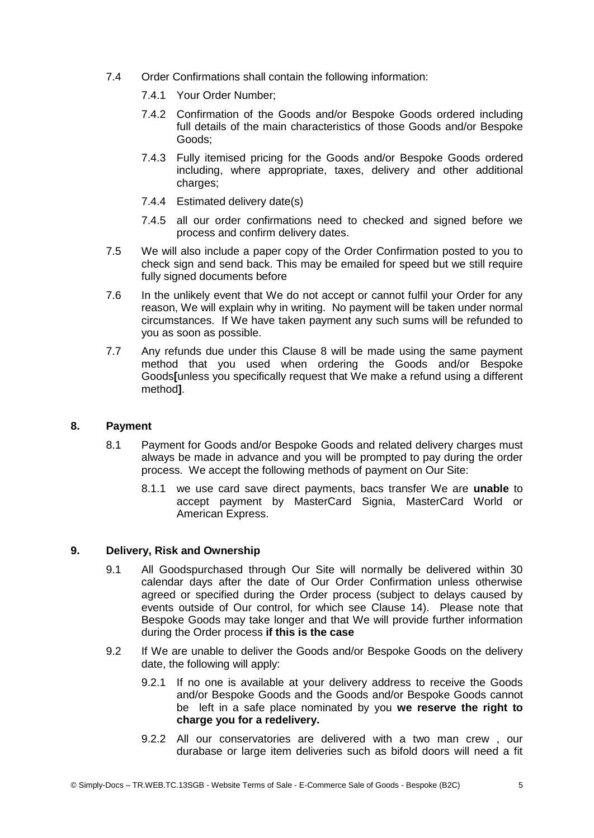- 7.4 Order Confirmations shall contain the following information:
	- 7.4.1 Your Order Number;
	- 7.4.2 Confirmation of the Goods and/or Bespoke Goods ordered including full details of the main characteristics of those Goods and/or Bespoke Goods;
	- 7.4.3 Fully itemised pricing for the Goods and/or Bespoke Goods ordered including, where appropriate, taxes, delivery and other additional charges:
	- 7.4.4 Estimated delivery date(s)
	- 7.4.5 all our order confirmations need to checked and signed before we process and confirm delivery dates.
- 7.5 We will also include a paper copy of the Order Confirmation posted to you to check sign and send back. This may be emailed for speed but we still require fully signed documents before
- 7.6 In the unlikely event that We do not accept or cannot fulfil your Order for any reason, We will explain why in writing. No payment will be taken under normal circumstances. If We have taken payment any such sums will be refunded to you as soon as possible.
- 7.7 Any refunds due under this Clause 8 will be made using the same payment method that you used when ordering the Goods and/or Bespoke Goods**[**unless you specifically request that We make a refund using a different method**]**.

# **8. Payment**

- 8.1 Payment for Goods and/or Bespoke Goods and related delivery charges must always be made in advance and you will be prompted to pay during the order process. We accept the following methods of payment on Our Site:
	- 8.1.1 we use card save direct payments, bacs transfer We are **unable** to accept payment by MasterCard Signia, MasterCard World or American Express.

# **9. Delivery, Risk and Ownership**

- 9.1 All Goodspurchased through Our Site will normally be delivered within 30 calendar days after the date of Our Order Confirmation unless otherwise agreed or specified during the Order process (subject to delays caused by events outside of Our control, for which see Clause 14). Please note that Bespoke Goods may take longer and that We will provide further information during the Order process **if this is the case**
- 9.2 If We are unable to deliver the Goods and/or Bespoke Goods on the delivery date, the following will apply:
	- 9.2.1 If no one is available at your delivery address to receive the Goods and/or Bespoke Goods and the Goods and/or Bespoke Goods cannot be left in a safe place nominated by you **we reserve the right to charge you for a redelivery.**
	- 9.2.2 All our conservatories are delivered with a two man crew , our durabase or large item deliveries such as bifold doors will need a fit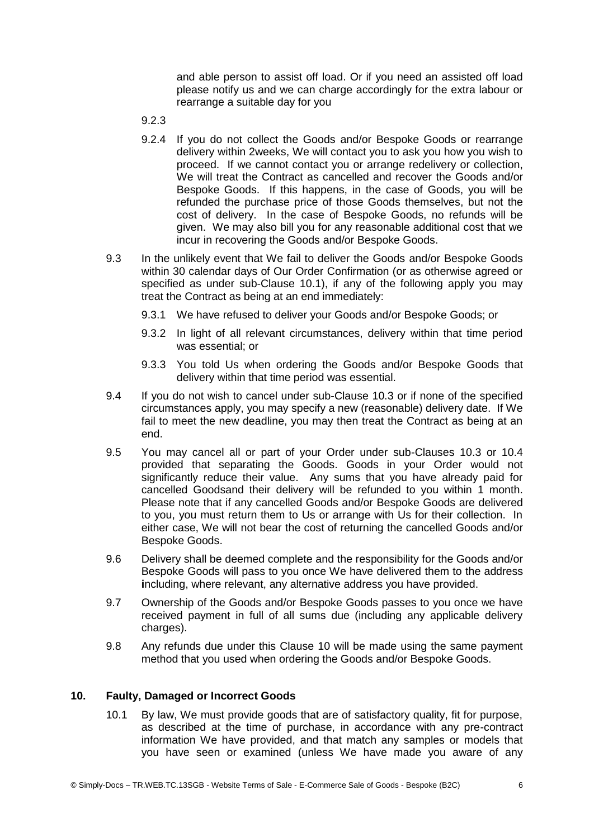and able person to assist off load. Or if you need an assisted off load please notify us and we can charge accordingly for the extra labour or rearrange a suitable day for you

- 9.2.3
- 9.2.4 If you do not collect the Goods and/or Bespoke Goods or rearrange delivery within 2weeks, We will contact you to ask you how you wish to proceed. If we cannot contact you or arrange redelivery or collection, We will treat the Contract as cancelled and recover the Goods and/or Bespoke Goods. If this happens, in the case of Goods, you will be refunded the purchase price of those Goods themselves, but not the cost of delivery. In the case of Bespoke Goods, no refunds will be given. We may also bill you for any reasonable additional cost that we incur in recovering the Goods and/or Bespoke Goods.
- 9.3 In the unlikely event that We fail to deliver the Goods and/or Bespoke Goods within 30 calendar days of Our Order Confirmation (or as otherwise agreed or specified as under sub-Clause 10.1), if any of the following apply you may treat the Contract as being at an end immediately:
	- 9.3.1 We have refused to deliver your Goods and/or Bespoke Goods; or
	- 9.3.2 In light of all relevant circumstances, delivery within that time period was essential; or
	- 9.3.3 You told Us when ordering the Goods and/or Bespoke Goods that delivery within that time period was essential.
- 9.4 If you do not wish to cancel under sub-Clause 10.3 or if none of the specified circumstances apply, you may specify a new (reasonable) delivery date. If We fail to meet the new deadline, you may then treat the Contract as being at an end.
- 9.5 You may cancel all or part of your Order under sub-Clauses 10.3 or 10.4 provided that separating the Goods. Goods in your Order would not significantly reduce their value. Any sums that you have already paid for cancelled Goodsand their delivery will be refunded to you within 1 month. Please note that if any cancelled Goods and/or Bespoke Goods are delivered to you, you must return them to Us or arrange with Us for their collection. In either case, We will not bear the cost of returning the cancelled Goods and/or Bespoke Goods.
- 9.6 Delivery shall be deemed complete and the responsibility for the Goods and/or Bespoke Goods will pass to you once We have delivered them to the address **i**ncluding, where relevant, any alternative address you have provided.
- 9.7 Ownership of the Goods and/or Bespoke Goods passes to you once we have received payment in full of all sums due (including any applicable delivery charges).
- 9.8 Any refunds due under this Clause 10 will be made using the same payment method that you used when ordering the Goods and/or Bespoke Goods.

# **10. Faulty, Damaged or Incorrect Goods**

10.1 By law, We must provide goods that are of satisfactory quality, fit for purpose, as described at the time of purchase, in accordance with any pre-contract information We have provided, and that match any samples or models that you have seen or examined (unless We have made you aware of any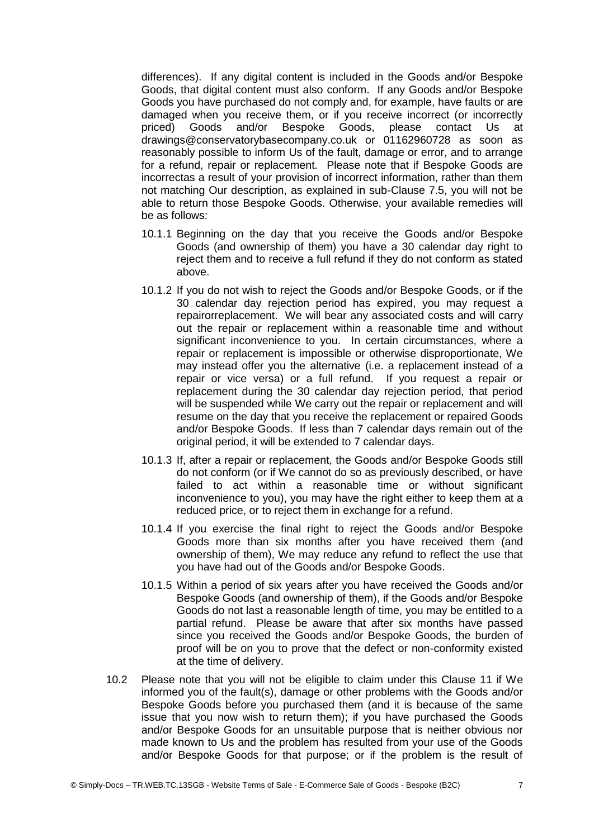differences). If any digital content is included in the Goods and/or Bespoke Goods, that digital content must also conform. If any Goods and/or Bespoke Goods you have purchased do not comply and, for example, have faults or are damaged when you receive them, or if you receive incorrect (or incorrectly priced) Goods and/or Bespoke Goods, please contact Us at drawings@conservatorybasecompany.co.uk or 01162960728 as soon as reasonably possible to inform Us of the fault, damage or error, and to arrange for a refund, repair or replacement. Please note that if Bespoke Goods are incorrectas a result of your provision of incorrect information, rather than them not matching Our description, as explained in sub-Clause 7.5, you will not be able to return those Bespoke Goods. Otherwise, your available remedies will be as follows:

- 10.1.1 Beginning on the day that you receive the Goods and/or Bespoke Goods (and ownership of them) you have a 30 calendar day right to reject them and to receive a full refund if they do not conform as stated above.
- 10.1.2 If you do not wish to reject the Goods and/or Bespoke Goods, or if the 30 calendar day rejection period has expired, you may request a repairorreplacement. We will bear any associated costs and will carry out the repair or replacement within a reasonable time and without significant inconvenience to you. In certain circumstances, where a repair or replacement is impossible or otherwise disproportionate, We may instead offer you the alternative (i.e. a replacement instead of a repair or vice versa) or a full refund. If you request a repair or replacement during the 30 calendar day rejection period, that period will be suspended while We carry out the repair or replacement and will resume on the day that you receive the replacement or repaired Goods and/or Bespoke Goods. If less than 7 calendar days remain out of the original period, it will be extended to 7 calendar days.
- 10.1.3 If, after a repair or replacement, the Goods and/or Bespoke Goods still do not conform (or if We cannot do so as previously described, or have failed to act within a reasonable time or without significant inconvenience to you), you may have the right either to keep them at a reduced price, or to reject them in exchange for a refund.
- 10.1.4 If you exercise the final right to reject the Goods and/or Bespoke Goods more than six months after you have received them (and ownership of them), We may reduce any refund to reflect the use that you have had out of the Goods and/or Bespoke Goods.
- 10.1.5 Within a period of six years after you have received the Goods and/or Bespoke Goods (and ownership of them), if the Goods and/or Bespoke Goods do not last a reasonable length of time, you may be entitled to a partial refund. Please be aware that after six months have passed since you received the Goods and/or Bespoke Goods, the burden of proof will be on you to prove that the defect or non-conformity existed at the time of delivery.
- 10.2 Please note that you will not be eligible to claim under this Clause 11 if We informed you of the fault(s), damage or other problems with the Goods and/or Bespoke Goods before you purchased them (and it is because of the same issue that you now wish to return them); if you have purchased the Goods and/or Bespoke Goods for an unsuitable purpose that is neither obvious nor made known to Us and the problem has resulted from your use of the Goods and/or Bespoke Goods for that purpose; or if the problem is the result of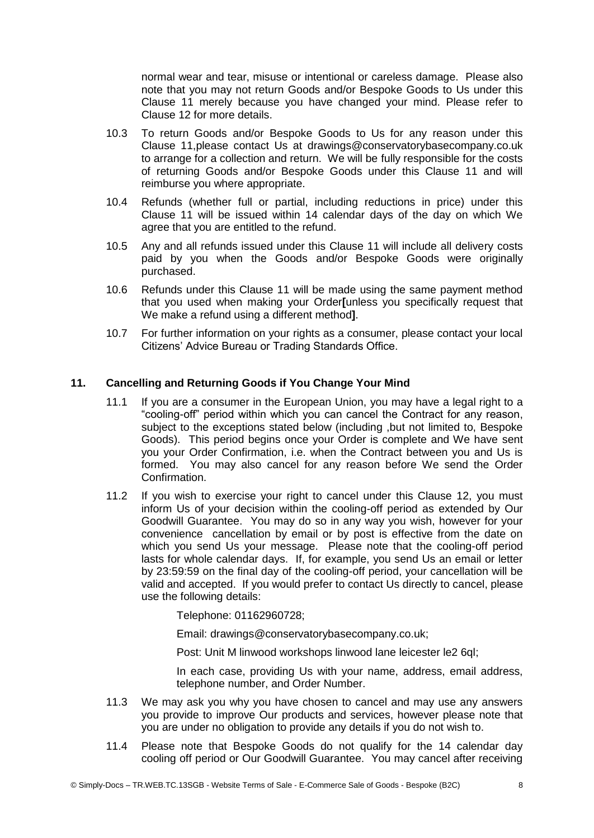normal wear and tear, misuse or intentional or careless damage. Please also note that you may not return Goods and/or Bespoke Goods to Us under this Clause 11 merely because you have changed your mind. Please refer to Clause 12 for more details.

- 10.3 To return Goods and/or Bespoke Goods to Us for any reason under this Clause 11,please contact Us at drawings@conservatorybasecompany.co.uk to arrange for a collection and return. We will be fully responsible for the costs of returning Goods and/or Bespoke Goods under this Clause 11 and will reimburse you where appropriate.
- 10.4 Refunds (whether full or partial, including reductions in price) under this Clause 11 will be issued within 14 calendar days of the day on which We agree that you are entitled to the refund.
- 10.5 Any and all refunds issued under this Clause 11 will include all delivery costs paid by you when the Goods and/or Bespoke Goods were originally purchased.
- 10.6 Refunds under this Clause 11 will be made using the same payment method that you used when making your Order**[**unless you specifically request that We make a refund using a different method**]**.
- 10.7 For further information on your rights as a consumer, please contact your local Citizens' Advice Bureau or Trading Standards Office.

#### **11. Cancelling and Returning Goods if You Change Your Mind**

- 11.1 If you are a consumer in the European Union, you may have a legal right to a "cooling-off" period within which you can cancel the Contract for any reason, subject to the exceptions stated below (including ,but not limited to, Bespoke Goods). This period begins once your Order is complete and We have sent you your Order Confirmation, i.e. when the Contract between you and Us is formed. You may also cancel for any reason before We send the Order Confirmation.
- 11.2 If you wish to exercise your right to cancel under this Clause 12, you must inform Us of your decision within the cooling-off period as extended by Our Goodwill Guarantee. You may do so in any way you wish, however for your convenience cancellation by email or by post is effective from the date on which you send Us your message. Please note that the cooling-off period lasts for whole calendar days. If, for example, you send Us an email or letter by 23:59:59 on the final day of the cooling-off period, your cancellation will be valid and accepted. If you would prefer to contact Us directly to cancel, please use the following details:

Telephone: 01162960728;

Email: drawings@conservatorybasecompany.co.uk;

Post: Unit M linwood workshops linwood lane leicester le2 6ql;

In each case, providing Us with your name, address, email address, telephone number, and Order Number.

- 11.3 We may ask you why you have chosen to cancel and may use any answers you provide to improve Our products and services, however please note that you are under no obligation to provide any details if you do not wish to.
- 11.4 Please note that Bespoke Goods do not qualify for the 14 calendar day cooling off period or Our Goodwill Guarantee. You may cancel after receiving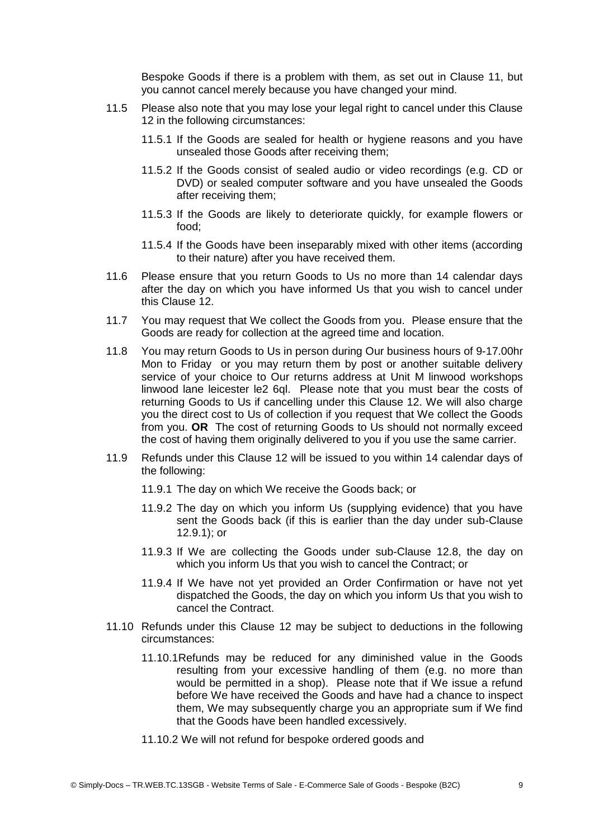Bespoke Goods if there is a problem with them, as set out in Clause 11, but you cannot cancel merely because you have changed your mind.

- 11.5 Please also note that you may lose your legal right to cancel under this Clause 12 in the following circumstances:
	- 11.5.1 If the Goods are sealed for health or hygiene reasons and you have unsealed those Goods after receiving them;
	- 11.5.2 If the Goods consist of sealed audio or video recordings (e.g. CD or DVD) or sealed computer software and you have unsealed the Goods after receiving them;
	- 11.5.3 If the Goods are likely to deteriorate quickly, for example flowers or food;
	- 11.5.4 If the Goods have been inseparably mixed with other items (according to their nature) after you have received them.
- 11.6 Please ensure that you return Goods to Us no more than 14 calendar days after the day on which you have informed Us that you wish to cancel under this Clause 12.
- 11.7 You may request that We collect the Goods from you. Please ensure that the Goods are ready for collection at the agreed time and location.
- 11.8 You may return Goods to Us in person during Our business hours of 9-17.00hr Mon to Friday or you may return them by post or another suitable delivery service of your choice to Our returns address at Unit M linwood workshops linwood lane leicester le2 6ql. Please note that you must bear the costs of returning Goods to Us if cancelling under this Clause 12. We will also charge you the direct cost to Us of collection if you request that We collect the Goods from you. **OR** The cost of returning Goods to Us should not normally exceed the cost of having them originally delivered to you if you use the same carrier.
- 11.9 Refunds under this Clause 12 will be issued to you within 14 calendar days of the following:
	- 11.9.1 The day on which We receive the Goods back; or
	- 11.9.2 The day on which you inform Us (supplying evidence) that you have sent the Goods back (if this is earlier than the day under sub-Clause 12.9.1); or
	- 11.9.3 If We are collecting the Goods under sub-Clause 12.8, the day on which you inform Us that you wish to cancel the Contract; or
	- 11.9.4 If We have not yet provided an Order Confirmation or have not yet dispatched the Goods, the day on which you inform Us that you wish to cancel the Contract.
- 11.10 Refunds under this Clause 12 may be subject to deductions in the following circumstances:
	- 11.10.1Refunds may be reduced for any diminished value in the Goods resulting from your excessive handling of them (e.g. no more than would be permitted in a shop). Please note that if We issue a refund before We have received the Goods and have had a chance to inspect them, We may subsequently charge you an appropriate sum if We find that the Goods have been handled excessively.
	- 11.10.2 We will not refund for bespoke ordered goods and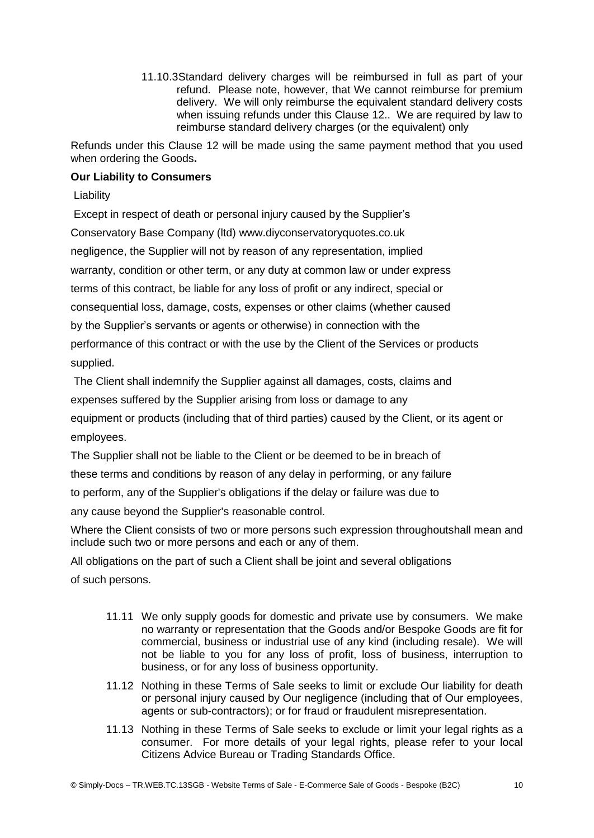11.10.3Standard delivery charges will be reimbursed in full as part of your refund. Please note, however, that We cannot reimburse for premium delivery. We will only reimburse the equivalent standard delivery costs when issuing refunds under this Clause 12.. We are required by law to reimburse standard delivery charges (or the equivalent) only

Refunds under this Clause 12 will be made using the same payment method that you used when ordering the Goods**.**

# **Our Liability to Consumers**

Liability

Except in respect of death or personal injury caused by the Supplier's Conservatory Base Company (ltd) www.diyconservatoryquotes.co.uk negligence, the Supplier will not by reason of any representation, implied warranty, condition or other term, or any duty at common law or under express terms of this contract, be liable for any loss of profit or any indirect, special or consequential loss, damage, costs, expenses or other claims (whether caused by the Supplier's servants or agents or otherwise) in connection with the performance of this contract or with the use by the Client of the Services or products supplied.

The Client shall indemnify the Supplier against all damages, costs, claims and expenses suffered by the Supplier arising from loss or damage to any equipment or products (including that of third parties) caused by the Client, or its agent or employees.

The Supplier shall not be liable to the Client or be deemed to be in breach of these terms and conditions by reason of any delay in performing, or any failure to perform, any of the Supplier's obligations if the delay or failure was due to any cause beyond the Supplier's reasonable control.

Where the Client consists of two or more persons such expression throughoutshall mean and include such two or more persons and each or any of them.

All obligations on the part of such a Client shall be joint and several obligations of such persons.

- 11.11 We only supply goods for domestic and private use by consumers. We make no warranty or representation that the Goods and/or Bespoke Goods are fit for commercial, business or industrial use of any kind (including resale). We will not be liable to you for any loss of profit, loss of business, interruption to business, or for any loss of business opportunity.
- 11.12 Nothing in these Terms of Sale seeks to limit or exclude Our liability for death or personal injury caused by Our negligence (including that of Our employees, agents or sub-contractors); or for fraud or fraudulent misrepresentation.
- 11.13 Nothing in these Terms of Sale seeks to exclude or limit your legal rights as a consumer. For more details of your legal rights, please refer to your local Citizens Advice Bureau or Trading Standards Office.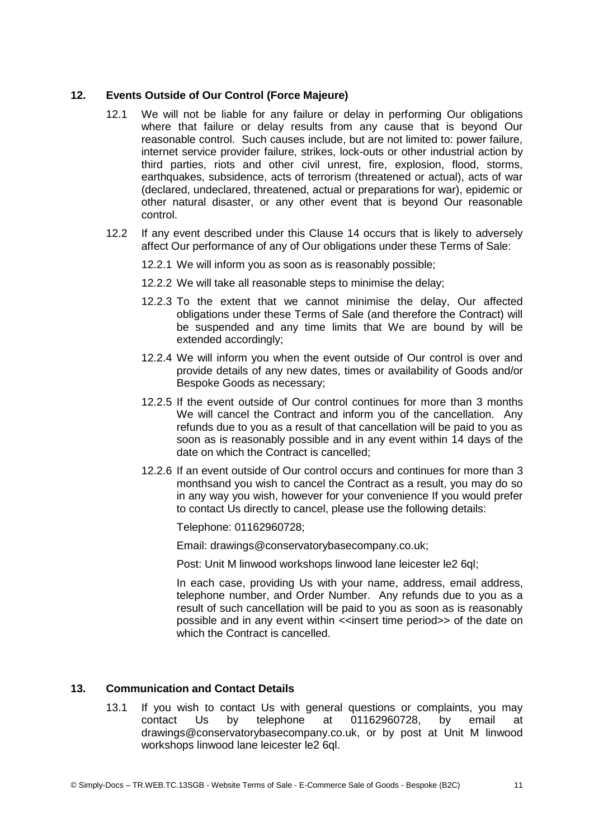# **12. Events Outside of Our Control (Force Majeure)**

- 12.1 We will not be liable for any failure or delay in performing Our obligations where that failure or delay results from any cause that is beyond Our reasonable control. Such causes include, but are not limited to: power failure, internet service provider failure, strikes, lock-outs or other industrial action by third parties, riots and other civil unrest, fire, explosion, flood, storms, earthquakes, subsidence, acts of terrorism (threatened or actual), acts of war (declared, undeclared, threatened, actual or preparations for war), epidemic or other natural disaster, or any other event that is beyond Our reasonable control.
- 12.2 If any event described under this Clause 14 occurs that is likely to adversely affect Our performance of any of Our obligations under these Terms of Sale:
	- 12.2.1 We will inform you as soon as is reasonably possible;
	- 12.2.2 We will take all reasonable steps to minimise the delay;
	- 12.2.3 To the extent that we cannot minimise the delay, Our affected obligations under these Terms of Sale (and therefore the Contract) will be suspended and any time limits that We are bound by will be extended accordingly;
	- 12.2.4 We will inform you when the event outside of Our control is over and provide details of any new dates, times or availability of Goods and/or Bespoke Goods as necessary;
	- 12.2.5 If the event outside of Our control continues for more than 3 months We will cancel the Contract and inform you of the cancellation. Any refunds due to you as a result of that cancellation will be paid to you as soon as is reasonably possible and in any event within 14 days of the date on which the Contract is cancelled;
	- 12.2.6 If an event outside of Our control occurs and continues for more than 3 monthsand you wish to cancel the Contract as a result, you may do so in any way you wish, however for your convenience If you would prefer to contact Us directly to cancel, please use the following details:

Telephone: 01162960728;

Email: drawings@conservatorybasecompany.co.uk;

Post: Unit M linwood workshops linwood lane leicester le2 6ql;

In each case, providing Us with your name, address, email address, telephone number, and Order Number. Any refunds due to you as a result of such cancellation will be paid to you as soon as is reasonably possible and in any event within <<insert time period>> of the date on which the Contract is cancelled.

# **13. Communication and Contact Details**

13.1 If you wish to contact Us with general questions or complaints, you may contact Us by telephone at 01162960728, by email at drawings@conservatorybasecompany.co.uk, or by post at Unit M linwood workshops linwood lane leicester le2 6ql.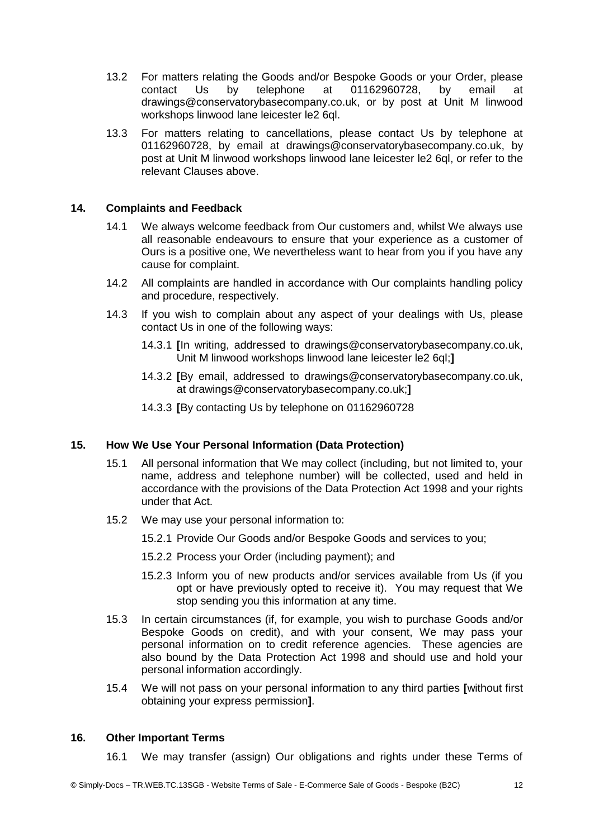- 13.2 For matters relating the Goods and/or Bespoke Goods or your Order, please contact Us by telephone at 01162960728, by email at drawings@conservatorybasecompany.co.uk, or by post at Unit M linwood workshops linwood lane leicester le2 6ql.
- 13.3 For matters relating to cancellations, please contact Us by telephone at 01162960728, by email at drawings@conservatorybasecompany.co.uk, by post at Unit M linwood workshops linwood lane leicester le2 6ql, or refer to the relevant Clauses above.

#### **14. Complaints and Feedback**

- 14.1 We always welcome feedback from Our customers and, whilst We always use all reasonable endeavours to ensure that your experience as a customer of Ours is a positive one, We nevertheless want to hear from you if you have any cause for complaint.
- 14.2 All complaints are handled in accordance with Our complaints handling policy and procedure, respectively.
- 14.3 If you wish to complain about any aspect of your dealings with Us, please contact Us in one of the following ways:
	- 14.3.1 **[**In writing, addressed to drawings@conservatorybasecompany.co.uk, Unit M linwood workshops linwood lane leicester le2 6ql;**]**
	- 14.3.2 **[**By email, addressed to drawings@conservatorybasecompany.co.uk, at drawings@conservatorybasecompany.co.uk;**]**
	- 14.3.3 **[**By contacting Us by telephone on 01162960728

#### **15. How We Use Your Personal Information (Data Protection)**

- 15.1 All personal information that We may collect (including, but not limited to, your name, address and telephone number) will be collected, used and held in accordance with the provisions of the Data Protection Act 1998 and your rights under that Act.
- 15.2 We may use your personal information to:
	- 15.2.1 Provide Our Goods and/or Bespoke Goods and services to you;
	- 15.2.2 Process your Order (including payment); and
	- 15.2.3 Inform you of new products and/or services available from Us (if you opt or have previously opted to receive it). You may request that We stop sending you this information at any time.
- 15.3 In certain circumstances (if, for example, you wish to purchase Goods and/or Bespoke Goods on credit), and with your consent, We may pass your personal information on to credit reference agencies. These agencies are also bound by the Data Protection Act 1998 and should use and hold your personal information accordingly.
- 15.4 We will not pass on your personal information to any third parties **[**without first obtaining your express permission**]**.

#### **16. Other Important Terms**

16.1 We may transfer (assign) Our obligations and rights under these Terms of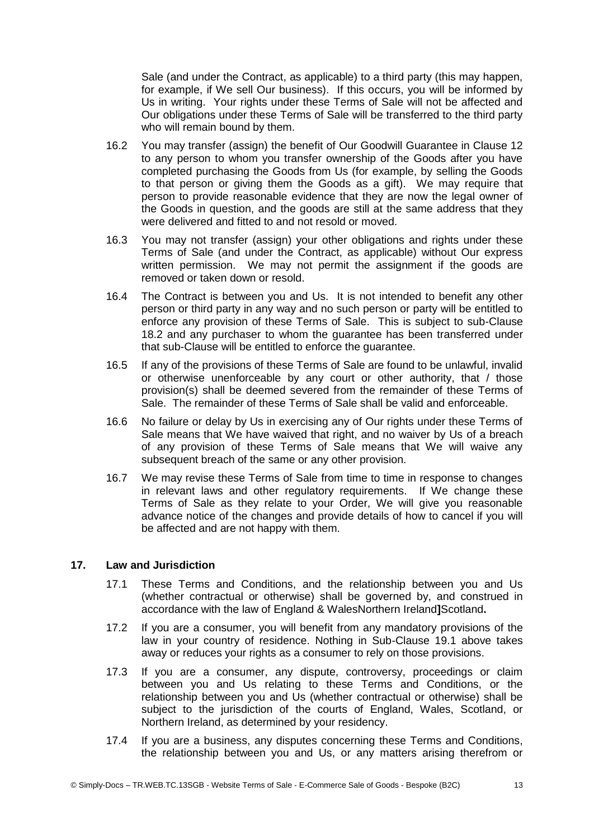Sale (and under the Contract, as applicable) to a third party (this may happen, for example, if We sell Our business). If this occurs, you will be informed by Us in writing. Your rights under these Terms of Sale will not be affected and Our obligations under these Terms of Sale will be transferred to the third party who will remain bound by them.

- 16.2 You may transfer (assign) the benefit of Our Goodwill Guarantee in Clause 12 to any person to whom you transfer ownership of the Goods after you have completed purchasing the Goods from Us (for example, by selling the Goods to that person or giving them the Goods as a gift). We may require that person to provide reasonable evidence that they are now the legal owner of the Goods in question, and the goods are still at the same address that they were delivered and fitted to and not resold or moved.
- 16.3 You may not transfer (assign) your other obligations and rights under these Terms of Sale (and under the Contract, as applicable) without Our express written permission. We may not permit the assignment if the goods are removed or taken down or resold.
- 16.4 The Contract is between you and Us. It is not intended to benefit any other person or third party in any way and no such person or party will be entitled to enforce any provision of these Terms of Sale. This is subject to sub-Clause 18.2 and any purchaser to whom the guarantee has been transferred under that sub-Clause will be entitled to enforce the guarantee.
- 16.5 If any of the provisions of these Terms of Sale are found to be unlawful, invalid or otherwise unenforceable by any court or other authority, that / those provision(s) shall be deemed severed from the remainder of these Terms of Sale. The remainder of these Terms of Sale shall be valid and enforceable.
- 16.6 No failure or delay by Us in exercising any of Our rights under these Terms of Sale means that We have waived that right, and no waiver by Us of a breach of any provision of these Terms of Sale means that We will waive any subsequent breach of the same or any other provision.
- 16.7 We may revise these Terms of Sale from time to time in response to changes in relevant laws and other regulatory requirements. If We change these Terms of Sale as they relate to your Order, We will give you reasonable advance notice of the changes and provide details of how to cancel if you will be affected and are not happy with them.

# **17. Law and Jurisdiction**

- 17.1 These Terms and Conditions, and the relationship between you and Us (whether contractual or otherwise) shall be governed by, and construed in accordance with the law of England & WalesNorthern Ireland**]**Scotland**.**
- 17.2 If you are a consumer, you will benefit from any mandatory provisions of the law in your country of residence. Nothing in Sub-Clause 19.1 above takes away or reduces your rights as a consumer to rely on those provisions.
- 17.3 If you are a consumer, any dispute, controversy, proceedings or claim between you and Us relating to these Terms and Conditions, or the relationship between you and Us (whether contractual or otherwise) shall be subject to the jurisdiction of the courts of England, Wales, Scotland, or Northern Ireland, as determined by your residency.
- 17.4 If you are a business, any disputes concerning these Terms and Conditions, the relationship between you and Us, or any matters arising therefrom or